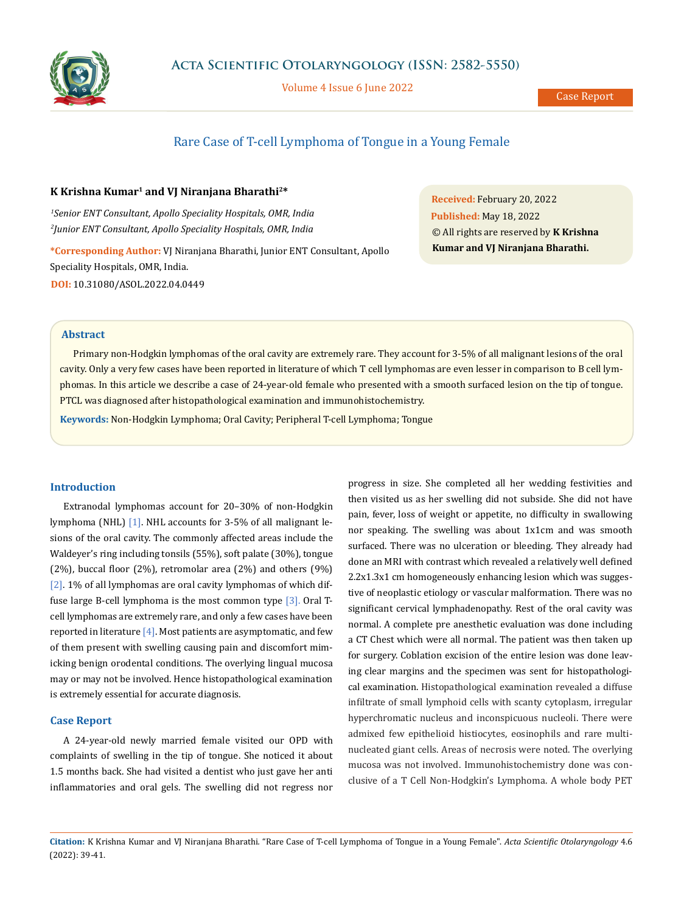

Volume 4 Issue 6 June 2022

# Rare Case of T-cell Lymphoma of Tongue in a Young Female

#### **K Krishna Kumar1 and VJ Niranjana Bharathi2\***

*1 Senior ENT Consultant, Apollo Speciality Hospitals, OMR, India 2 Junior ENT Consultant, Apollo Speciality Hospitals, OMR, India*

**\*Corresponding Author:** VJ Niranjana Bharathi, Junior ENT Consultant, Apollo Speciality Hospitals, OMR, India. **DOI:** [10.31080/ASOL.2022.04.0449](https://actascientific.com/ASOL/pdf/ASOL-04-0449.pdf)

**Received:** February 20, 2022 **Published:** May 18, 2022 © All rights are reserved by **K Krishna Kumar and VJ Niranjana Bharathi.**

## **Abstract**

Primary non-Hodgkin lymphomas of the oral cavity are extremely rare. They account for 3-5% of all malignant lesions of the oral cavity. Only a very few cases have been reported in literature of which T cell lymphomas are even lesser in comparison to B cell lymphomas. In this article we describe a case of 24-year-old female who presented with a smooth surfaced lesion on the tip of tongue. PTCL was diagnosed after histopathological examination and immunohistochemistry.

**Keywords:** Non-Hodgkin Lymphoma; Oral Cavity; Peripheral T-cell Lymphoma; Tongue

### **Introduction**

Extranodal lymphomas account for 20–30% of non-Hodgkin lymphoma (NHL) [1]. NHL accounts for 3-5% of all malignant lesions of the oral cavity. The commonly affected areas include the Waldeyer's ring including tonsils (55%), soft palate (30%), tongue (2%), buccal floor (2%), retromolar area (2%) and others (9%) [2]. 1% of all lymphomas are oral cavity lymphomas of which diffuse large B-cell lymphoma is the most common type [3]. Oral Tcell lymphomas are extremely rare, and only a few cases have been reported in literature  $[4]$ . Most patients are asymptomatic, and few of them present with swelling causing pain and discomfort mimicking benign orodental conditions. The overlying lingual mucosa may or may not be involved. Hence histopathological examination is extremely essential for accurate diagnosis.

## **Case Report**

A 24-year-old newly married female visited our OPD with complaints of swelling in the tip of tongue. She noticed it about 1.5 months back. She had visited a dentist who just gave her anti inflammatories and oral gels. The swelling did not regress nor progress in size. She completed all her wedding festivities and then visited us as her swelling did not subside. She did not have pain, fever, loss of weight or appetite, no difficulty in swallowing nor speaking. The swelling was about 1x1cm and was smooth surfaced. There was no ulceration or bleeding. They already had done an MRI with contrast which revealed a relatively well defined 2.2x1.3x1 cm homogeneously enhancing lesion which was suggestive of neoplastic etiology or vascular malformation. There was no significant cervical lymphadenopathy. Rest of the oral cavity was normal. A complete pre anesthetic evaluation was done including a CT Chest which were all normal. The patient was then taken up for surgery. Coblation excision of the entire lesion was done leaving clear margins and the specimen was sent for histopathological examination. Histopathological examination revealed a diffuse infiltrate of small lymphoid cells with scanty cytoplasm, irregular hyperchromatic nucleus and inconspicuous nucleoli. There were admixed few epithelioid histiocytes, eosinophils and rare multinucleated giant cells. Areas of necrosis were noted. The overlying mucosa was not involved. Immunohistochemistry done was conclusive of a T Cell Non-Hodgkin's Lymphoma. A whole body PET

**Citation:** K Krishna Kumar and VJ Niranjana Bharathi*.* "Rare Case of T-cell Lymphoma of Tongue in a Young Female". *Acta Scientific Otolaryngology* 4.6 (2022): 39-41.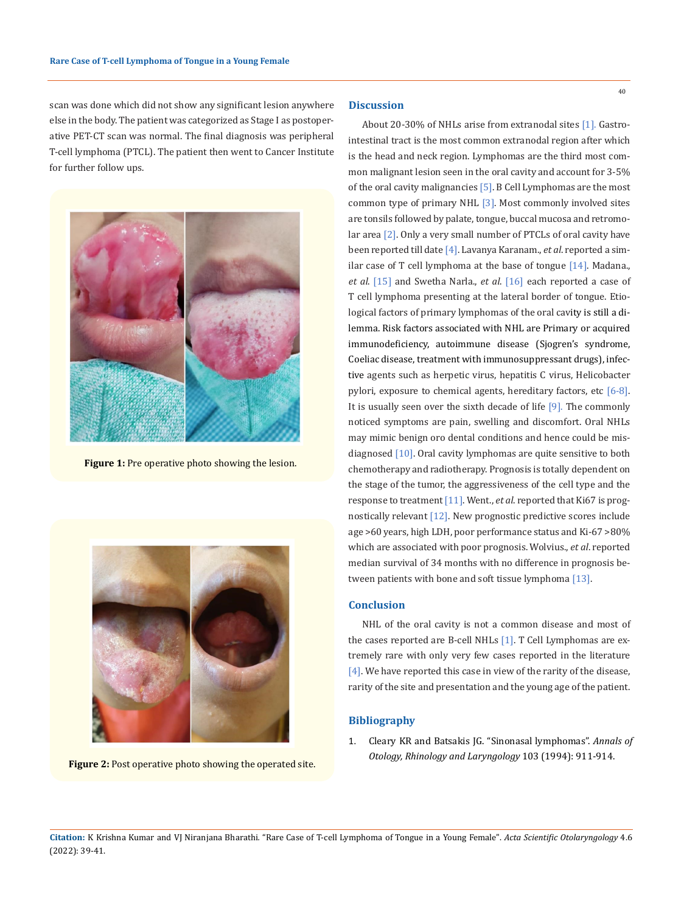scan was done which did not show any significant lesion anywhere else in the body. The patient was categorized as Stage I as postoperative PET-CT scan was normal. The final diagnosis was peripheral T-cell lymphoma (PTCL). The patient then went to Cancer Institute for further follow ups.



**Figure 1:** Pre operative photo showing the lesion.



**Figure 2:** Post operative photo showing the operated site.

## **Discussion**

About 20-30% of NHLs arise from extranodal sites [1]. Gastrointestinal tract is the most common extranodal region after which is the head and neck region. Lymphomas are the third most common malignant lesion seen in the oral cavity and account for 3-5% of the oral cavity malignancies [5]. B Cell Lymphomas are the most common type of primary NHL [3]. Most commonly involved sites are tonsils followed by palate, tongue, buccal mucosa and retromolar area [2]. Only a very small number of PTCLs of oral cavity have been reported till date [4]. Lavanya Karanam., *et al*. reported a similar case of T cell lymphoma at the base of tongue [14]. Madana., *et al*. [15] and Swetha Narla., *et al*. [16] each reported a case of T cell lymphoma presenting at the lateral border of tongue. Etiological factors of primary lymphomas of the oral cavity is still a dilemma. Risk factors associated with NHL are Primary or acquired immunodeficiency, autoimmune disease (Sjogren's syndrome, Coeliac disease, treatment with immunosuppressant drugs), infective agents such as herpetic virus, hepatitis C virus, Helicobacter pylori, exposure to chemical agents, hereditary factors, etc [6-8]. It is usually seen over the sixth decade of life [9]. The commonly noticed symptoms are pain, swelling and discomfort. Oral NHLs may mimic benign oro dental conditions and hence could be misdiagnosed [10]. Oral cavity lymphomas are quite sensitive to both chemotherapy and radiotherapy. Prognosis is totally dependent on the stage of the tumor, the aggressiveness of the cell type and the response to treatment [11]. Went., *et al*. reported that Ki67 is prognostically relevant [12]. New prognostic predictive scores include age >60 years, high LDH, poor performance status and Ki-67 >80% which are associated with poor prognosis. Wolvius., *et al*. reported median survival of 34 months with no difference in prognosis between patients with bone and soft tissue lymphoma [13].

#### **Conclusion**

NHL of the oral cavity is not a common disease and most of the cases reported are B-cell NHLs [1]. T Cell Lymphomas are extremely rare with only very few cases reported in the literature [4]. We have reported this case in view of the rarity of the disease, rarity of the site and presentation and the young age of the patient.

### **Bibliography**

1. [Cleary KR and Batsakis JG. "Sinonasal lymphomas".](https://pubmed.ncbi.nlm.nih.gov/7979008/) *Annals of [Otology, Rhinology and Laryngology](https://pubmed.ncbi.nlm.nih.gov/7979008/)* 103 (1994): 911-914.

**Citation:** K Krishna Kumar and VJ Niranjana Bharathi*.* "Rare Case of T-cell Lymphoma of Tongue in a Young Female". *Acta Scientific Otolaryngology* 4.6 (2022): 39-41.